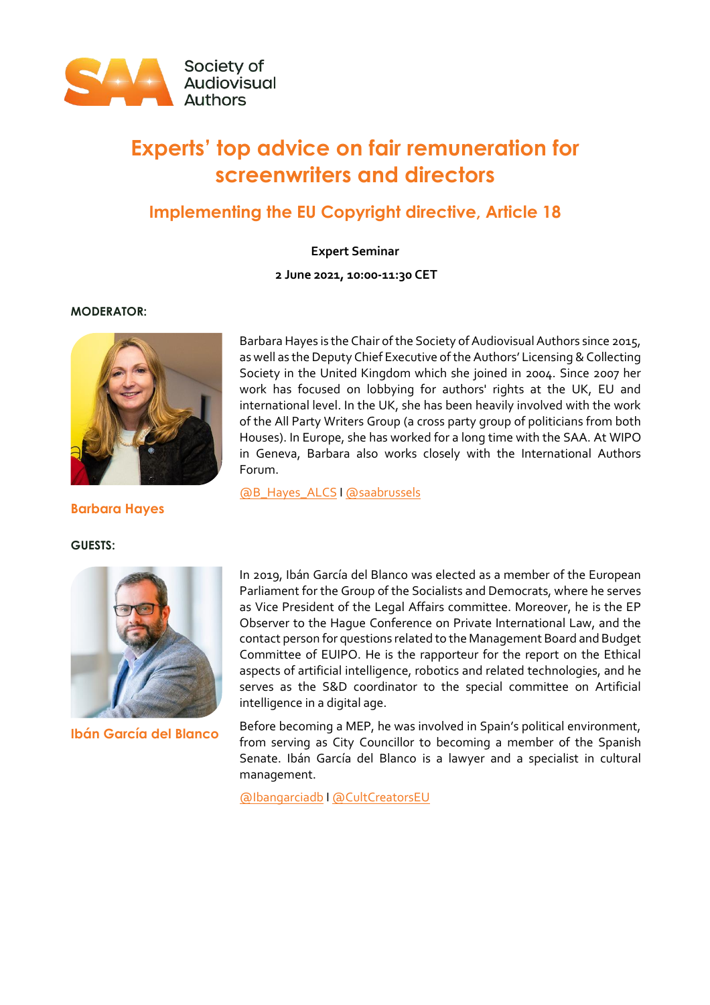

# **Experts' top advice on fair remuneration for screenwriters and directors**

# **Implementing the EU Copyright directive, Article 18**

**Expert Seminar**

**2 June 2021, 10:00-11:30 CET**

#### **MODERATOR:**



**Barbara Hayes**

**GUESTS:**



**Ibán García del Blanco**

Barbara Hayes is the Chair of the Society of Audiovisual Authors since 2015, as well as the Deputy Chief Executive of the Authors' Licensing & Collecting Society in the United Kingdom which she joined in 2004. Since 2007 her work has focused on lobbying for authors' rights at the UK, EU and international level. In the UK, she has been heavily involved with the work of the All Party Writers Group (a cross party group of politicians from both Houses). In Europe, she has worked for a long time with the SAA. At WIPO in Geneva, Barbara also works closely with the International Authors Forum.

[@B\\_Hayes\\_ALCS](https://twitter.com/B_Hayes_ALCS) [I @saabrussels](https://twitter.com/saabrussels)

In 2019, Ibán García del Blanco was elected as a member of the European Parliament for the Group of the Socialists and Democrats, where he serves as Vice President of the Legal Affairs committee. Moreover, he is the EP Observer to the Hague Conference on Private International Law, and the contact person for questions related to the Management Board and Budget Committee of EUIPO. He is the rapporteur for the report on the Ethical aspects of artificial intelligence, robotics and related technologies, and he serves as the S&D coordinator to the special committee on Artificial intelligence in a digital age.

Before becoming a MEP, he was involved in Spain's political environment, from serving as City Councillor to becoming a member of the Spanish Senate. Ibán García del Blanco is a lawyer and a specialist in cultural management.

[@Ibangarciadb](https://twitter.com/Ibangarciadb) [I @CultCreatorsEU](https://twitter.com/cultcreatorseu)